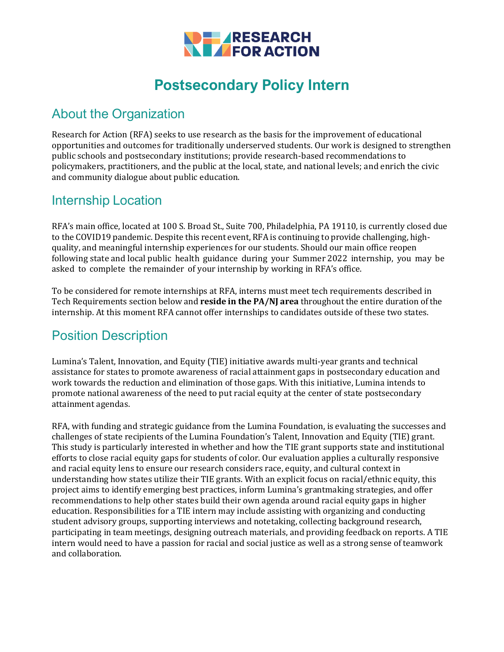

# **Postsecondary Policy Intern**

#### About the Organization

Research for Action (RFA) seeks to use research as the basis for the improvement of educational opportunities and outcomes for traditionally underserved students. Our work is designed to strengthen public schools and postsecondary institutions; provide research-based recommendations to policymakers, practitioners, and the public at the local, state, and national levels; and enrich the civic and community dialogue about public education.

#### Internship Location

RFA's main office, located at 100 S. Broad St., Suite 700, Philadelphia, PA 19110, is currently closed due to the COVID19 pandemic. Despite this recent event, RFA is continuing to provide challenging, highquality, and meaningful internship experiences for our students. Should our main office reopen following state and local public health guidance during your Summer 2022 internship, you may be asked to complete the remainder of your internship by working in RFA's office.

To be considered for remote internships at RFA, interns must meet tech requirements described in Tech Requirements section below and **reside in the PA/NJ area** throughout the entire duration of the internship. At this moment RFA cannot offer internships to candidates outside of these two states.

### Position Description

Lumina's Talent, Innovation, and Equity (TIE) initiative awards multi-year grants and technical assistance for states to promote awareness of racial attainment gaps in postsecondary education and work towards the reduction and elimination of those gaps. With this initiative, Lumina intends to promote national awareness of the need to put racial equity at the center of state postsecondary attainment agendas.

RFA, with funding and strategic guidance from the Lumina Foundation, is evaluating the successes and challenges of state recipients of the Lumina Foundation's Talent, Innovation and Equity (TIE) grant. This study is particularly interested in whether and how the TIE grant supports state and institutional efforts to close racial equity gaps for students of color. Our evaluation applies a culturally responsive and racial equity lens to ensure our research considers race, equity, and cultural context in understanding how states utilize their TIE grants. With an explicit focus on racial/ethnic equity, this project aims to identify emerging best practices, inform Lumina's grantmaking strategies, and offer recommendations to help other states build their own agenda around racial equity gaps in higher education. Responsibilities for a TIE intern may include assisting with organizing and conducting student advisory groups, supporting interviews and notetaking, collecting background research, participating in team meetings, designing outreach materials, and providing feedback on reports. A TIE intern would need to have a passion for racial and social justice as well as a strong sense of teamwork and collaboration.